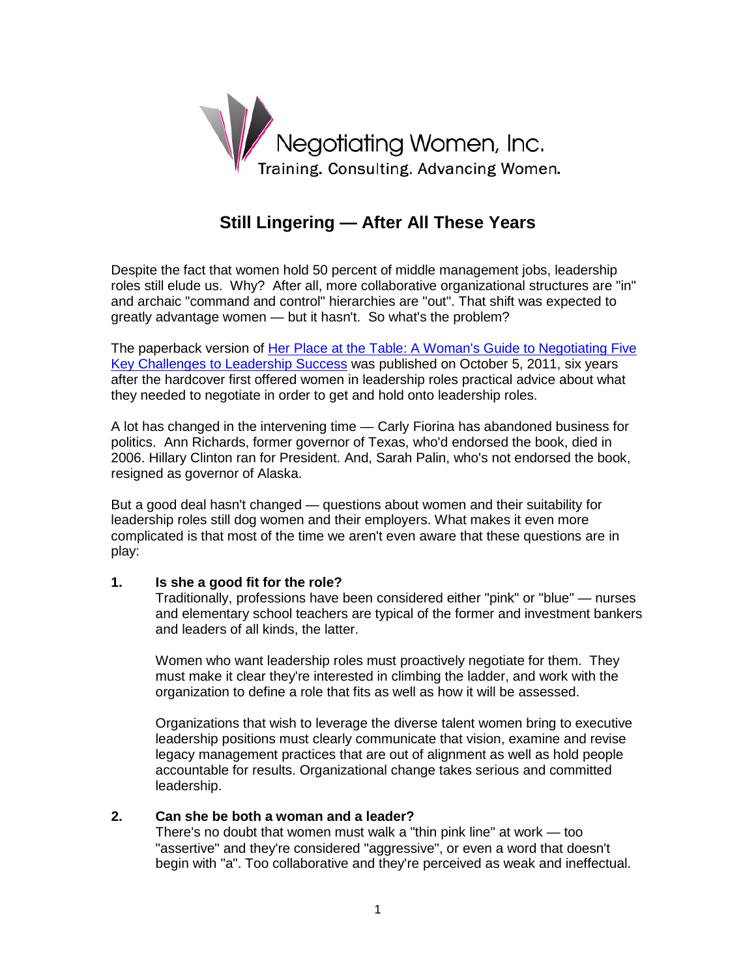

# **Still Lingering — After All These Years**

Despite the fact that women hold 50 percent of middle management jobs, leadership roles still elude us. Why? After all, more collaborative organizational structures are "in" and archaic "command and control" hierarchies are "out". That shift was expected to greatly advantage women — but it hasn't. So what's the problem?

The paperback version of [Her Place at the Table: A Woman's Guide to Negotiating Five](http://amzn.com/0470633751)  [Key Challenges to Leadership Success](http://amzn.com/0470633751) was published on October 5, 2011, six years after the hardcover first offered women in leadership roles practical advice about what they needed to negotiate in order to get and hold onto leadership roles.

A lot has changed in the intervening time — Carly Fiorina has abandoned business for politics. Ann Richards, former governor of Texas, who'd endorsed the book, died in 2006. Hillary Clinton ran for President. And, Sarah Palin, who's not endorsed the book, resigned as governor of Alaska.

But a good deal hasn't changed — questions about women and their suitability for leadership roles still dog women and their employers. What makes it even more complicated is that most of the time we aren't even aware that these questions are in play:

## **1. Is she a good fit for the role?**

Traditionally, professions have been considered either "pink" or "blue" — nurses and elementary school teachers are typical of the former and investment bankers and leaders of all kinds, the latter.

Women who want leadership roles must proactively negotiate for them. They must make it clear they're interested in climbing the ladder, and work with the organization to define a role that fits as well as how it will be assessed.

Organizations that wish to leverage the diverse talent women bring to executive leadership positions must clearly communicate that vision, examine and revise legacy management practices that are out of alignment as well as hold people accountable for results. Organizational change takes serious and committed leadership.

# **2. Can she be both a woman and a leader?**

There's no doubt that women must walk a "thin pink line" at work — too "assertive" and they're considered "aggressive", or even a word that doesn't begin with "a". Too collaborative and they're perceived as weak and ineffectual.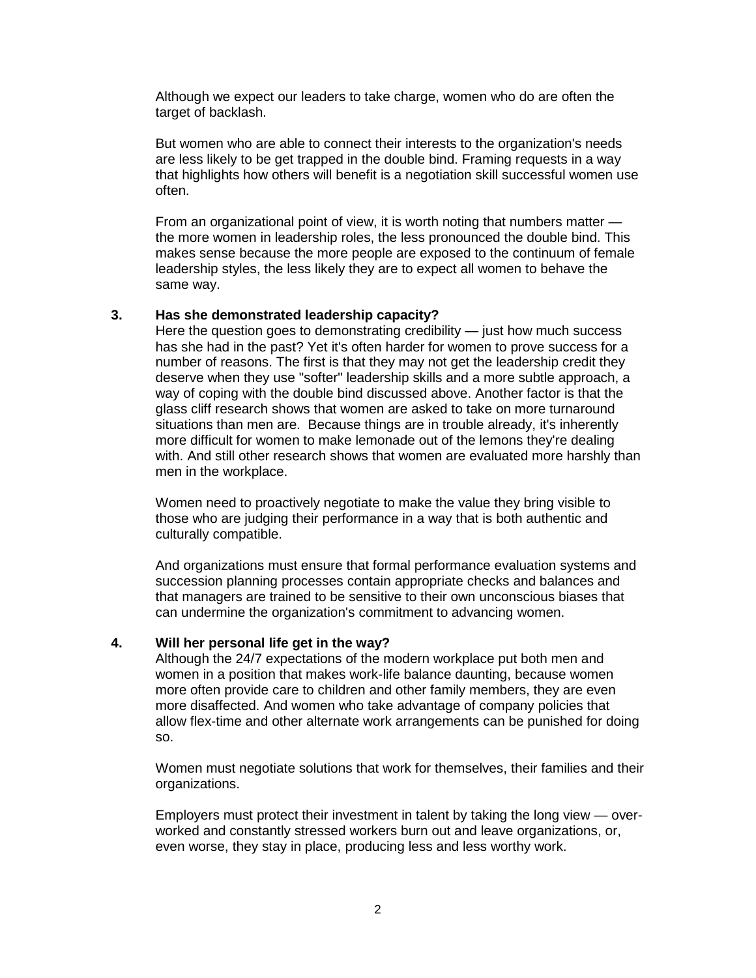Although we expect our leaders to take charge, women who do are often the target of backlash.

But women who are able to connect their interests to the organization's needs are less likely to be get trapped in the double bind. Framing requests in a way that highlights how others will benefit is a negotiation skill successful women use often.

From an organizational point of view, it is worth noting that numbers matter the more women in leadership roles, the less pronounced the double bind. This makes sense because the more people are exposed to the continuum of female leadership styles, the less likely they are to expect all women to behave the same way.

## **3. Has she demonstrated leadership capacity?**

Here the question goes to demonstrating credibility  $-$  just how much success has she had in the past? Yet it's often harder for women to prove success for a number of reasons. The first is that they may not get the leadership credit they deserve when they use "softer" leadership skills and a more subtle approach, a way of coping with the double bind discussed above. Another factor is that the glass cliff research shows that women are asked to take on more turnaround situations than men are. Because things are in trouble already, it's inherently more difficult for women to make lemonade out of the lemons they're dealing with. And still other research shows that women are evaluated more harshly than men in the workplace.

Women need to proactively negotiate to make the value they bring visible to those who are judging their performance in a way that is both authentic and culturally compatible.

And organizations must ensure that formal performance evaluation systems and succession planning processes contain appropriate checks and balances and that managers are trained to be sensitive to their own unconscious biases that can undermine the organization's commitment to advancing women.

#### **4. Will her personal life get in the way?**

Although the 24/7 expectations of the modern workplace put both men and women in a position that makes work-life balance daunting, because women more often provide care to children and other family members, they are even more disaffected. And women who take advantage of company policies that allow flex-time and other alternate work arrangements can be punished for doing so.

Women must negotiate solutions that work for themselves, their families and their organizations.

Employers must protect their investment in talent by taking the long view — overworked and constantly stressed workers burn out and leave organizations, or, even worse, they stay in place, producing less and less worthy work.